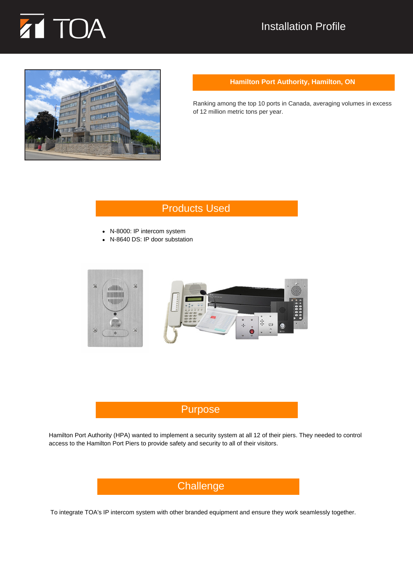

## Installation Profile



#### **Hamilton Port Authority, Hamilton, ON**

Ranking among the top 10 ports in Canada, averaging volumes in excess of 12 million metric tons per year.

# Products Used

- N-8000: IP intercom system
- N-8640 DS: IP door substation



### Purpose

Hamilton Port Authority (HPA) wanted to implement a security system at all 12 of their piers. They needed to control access to the Hamilton Port Piers to provide safety and security to all of their visitors.



To integrate TOA's IP intercom system with other branded equipment and ensure they work seamlessly together.